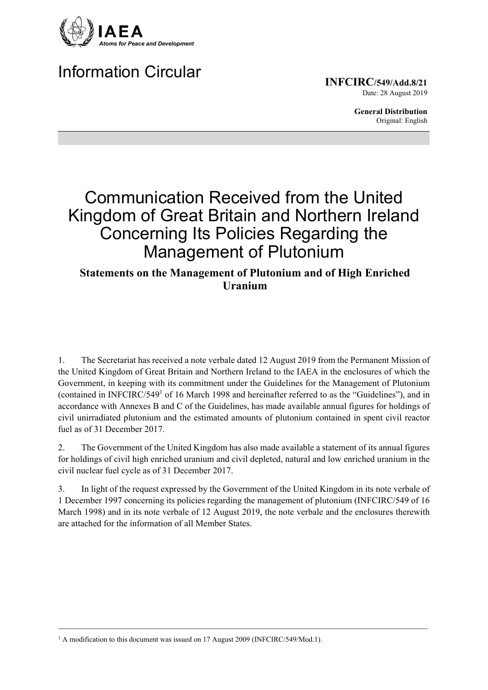

# Information Circular

**INFCIRC/549/Add.8/21** Date: 28 August 2019

> **General Distribution** Original: English

# Communication Received from the United Kingdom of Great Britain and Northern Ireland Concerning Its Policies Regarding the Management of Plutonium

# **Statements on the Management of Plutonium and of High Enriched Uranium**

1. The Secretariat has received a note verbale dated 12 August 2019 from the Permanent Mission of the United Kingdom of Great Britain and Northern Ireland to the IAEA in the enclosures of which the Government, in keeping with its commitment under the Guidelines for the Management of Plutonium (contained in INFCIRC/549<sup>1</sup> of 16 March 1998 and hereinafter referred to as the "Guidelines"), and in accordance with Annexes B and C of the Guidelines, has made available annual figures for holdings of civil unirradiated plutonium and the estimated amounts of plutonium contained in spent civil reactor fuel as of 31 December 2017.

2. The Government of the United Kingdom has also made available a statement of its annual figures for holdings of civil high enriched uranium and civil depleted, natural and low enriched uranium in the civil nuclear fuel cycle as of 31 December 2017.

3. In light of the request expressed by the Government of the United Kingdom in its note verbale of 1 December 1997 concerning its policies regarding the management of plutonium (INFCIRC/549 of 16 March 1998) and in its note verbale of 12 August 2019, the note verbale and the enclosures therewith are attached for the information of all Member States.

 $\mathcal{L}_\mathcal{L} = \{ \mathcal{L}_\mathcal{L} = \{ \mathcal{L}_\mathcal{L} = \{ \mathcal{L}_\mathcal{L} = \{ \mathcal{L}_\mathcal{L} = \{ \mathcal{L}_\mathcal{L} = \{ \mathcal{L}_\mathcal{L} = \{ \mathcal{L}_\mathcal{L} = \{ \mathcal{L}_\mathcal{L} = \{ \mathcal{L}_\mathcal{L} = \{ \mathcal{L}_\mathcal{L} = \{ \mathcal{L}_\mathcal{L} = \{ \mathcal{L}_\mathcal{L} = \{ \mathcal{L}_\mathcal{L} = \{ \mathcal{L}_\mathcal{$ 

<sup>&</sup>lt;sup>1</sup> A modification to this document was issued on 17 August 2009 (INFCIRC/549/Mod.1).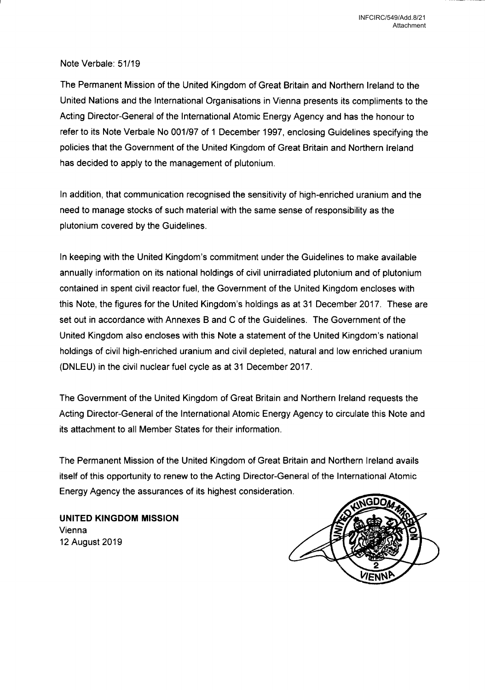### Note Verbale: 51/19

The Permanent Mission of the United Kingdom of Great Britain and Northern Ireland to the United Nations and the International Organisations in Vienna presents its compliments to the Acting Director-General of the International Atomic Energy Agency and has the honour to refer to its Note Verbale No 001/97 of <sup>1</sup> December 1997, enclosing Guidelines specifying the policies that the Government of the United Kingdom of Great Britain and Northern Ireland has decided to apply to the management of plutonium.

In addition, that communication recognised the sensitivity of high-enriched uranium and the need to manage stocks of such material with the same sense of responsibility as the plutonium covered by the Guidelines.

In keeping with the United Kingdom's commitment under the Guidelines to make available annually information on its national holdings of civil unirradiated plutonium and of plutonium contained in spent civil reactor fuel, the Government of the United Kingdom encloses with this Note, the figures for the United Kingdom's holdings as at <sup>31</sup> December 2017. These are set out in accordance with Annexes B and C of the Guidelines. The Government of the United Kingdom also encloses with this Note a statement of the United Kingdom's national holdings of civil high-enriched uranium and civil depleted, natural and low enriched uranium (DNLEU) in the civil nuclear fuel cycle as at <sup>31</sup> December 2017.

The Government of the United Kingdom of Great Britain and Northern Ireland requests the Acting Director-General of the International Atomic Energy Agency to circulate this Note and its attachment to all Member States for their information.

The Permanent Mission of the United Kingdom of Great Britain and Northern Ireland avails itself of this opportunity to renew to the Acting Director-General of the International Atomic Energy Agency the assurances of its highest consideration.

UNITED KINGDOM MISSION Vienna 12 August 2019

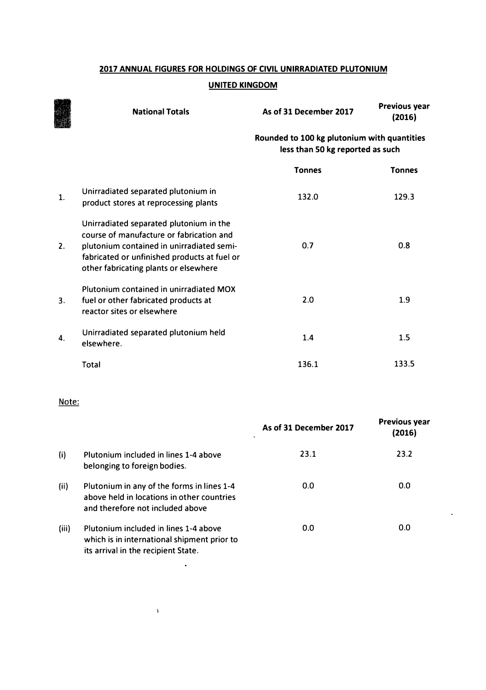### **2017 ANNUAL FIGURES FOR HOLDINGS OF CIVIL UNIRRADIATED PLUTONIUM**

#### **UNITED KINGDOM**

|    | <b>National Totals</b>                                                                                                                                                                                                    | As of 31 December 2017                                                          | <b>Previous year</b><br>(2016) |
|----|---------------------------------------------------------------------------------------------------------------------------------------------------------------------------------------------------------------------------|---------------------------------------------------------------------------------|--------------------------------|
|    |                                                                                                                                                                                                                           | Rounded to 100 kg plutonium with quantities<br>less than 50 kg reported as such |                                |
|    |                                                                                                                                                                                                                           | <b>Tonnes</b>                                                                   | <b>Tonnes</b>                  |
| 1. | Unirradiated separated plutonium in<br>product stores at reprocessing plants                                                                                                                                              | 132.0                                                                           | 129.3                          |
| 2. | Unirradiated separated plutonium in the<br>course of manufacture or fabrication and<br>plutonium contained in unirradiated semi-<br>fabricated or unfinished products at fuel or<br>other fabricating plants or elsewhere | 0.7                                                                             | 0.8                            |
| 3. | Plutonium contained in unirradiated MOX<br>fuel or other fabricated products at<br>reactor sites or elsewhere                                                                                                             | 2.0                                                                             | 1.9                            |
| 4. | Unirradiated separated plutonium held<br>elsewhere.                                                                                                                                                                       | 1.4                                                                             | 1.5                            |
|    | Total                                                                                                                                                                                                                     | 136.1                                                                           | 133.5                          |

### Note:

|       |                                                                                                                              | As of 31 December 2017<br>×. | <b>Previous year</b><br>(2016) |
|-------|------------------------------------------------------------------------------------------------------------------------------|------------------------------|--------------------------------|
| (i)   | Plutonium included in lines 1-4 above<br>belonging to foreign bodies.                                                        | 23.1                         | 23.2                           |
| (ii)  | Plutonium in any of the forms in lines 1-4<br>above held in locations in other countries<br>and therefore not included above | 0.0                          | 0.0                            |
| (iii) | Plutonium included in lines 1-4 above<br>which is in international shipment prior to<br>its arrival in the recipient State.  | 0.0                          | 0.0                            |

 $\mathcal{A}^{\mathcal{A}}$ 

 $\langle \rangle$ 

 $\hat{\mathbf{z}}$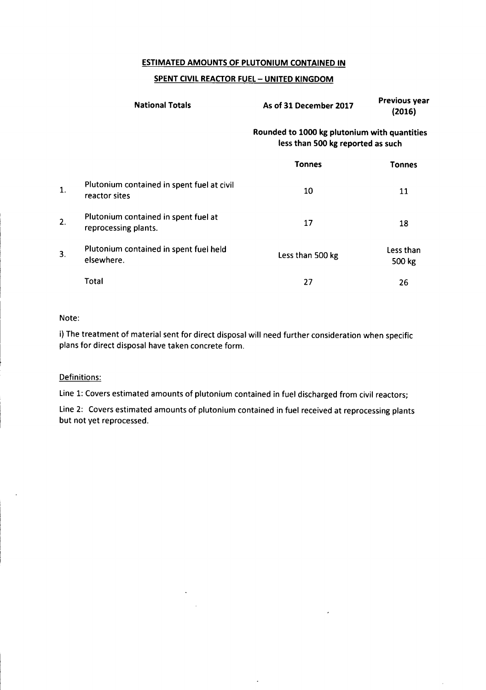#### **ESTIMATED AMOUNTS OF PLUTONIUM CONTAINED IN**

#### **SPENT CIVIL REACTOR FUEL - UNITED KINGDOM**

|    | <b>National Totals</b>                                       | As of 31 December 2017                                                            | <b>Previous year</b><br>(2016) |
|----|--------------------------------------------------------------|-----------------------------------------------------------------------------------|--------------------------------|
|    |                                                              | Rounded to 1000 kg plutonium with quantities<br>less than 500 kg reported as such |                                |
|    |                                                              | <b>Tonnes</b>                                                                     | Tonnes                         |
| 1. | Plutonium contained in spent fuel at civil<br>reactor sites  | 10                                                                                | 11                             |
| 2. | Plutonium contained in spent fuel at<br>reprocessing plants. | 17                                                                                | 18                             |
| 3. | Plutonium contained in spent fuel held<br>elsewhere.         | Less than 500 kg                                                                  | Less than<br>500 kg            |
|    | Total                                                        | 27                                                                                | 26                             |

#### Note:

i) The treatment of material sent for direct disposal will need further consideration when specific plans for direct disposal have taken concrete form.

#### Definitions:

Line 1: Covers estimated amounts of plutonium contained in fuel discharged from civil reactors;

Line 2: Covers estimated amounts of plutonium contained in fuel received at reprocessing plants but not yet reprocessed.